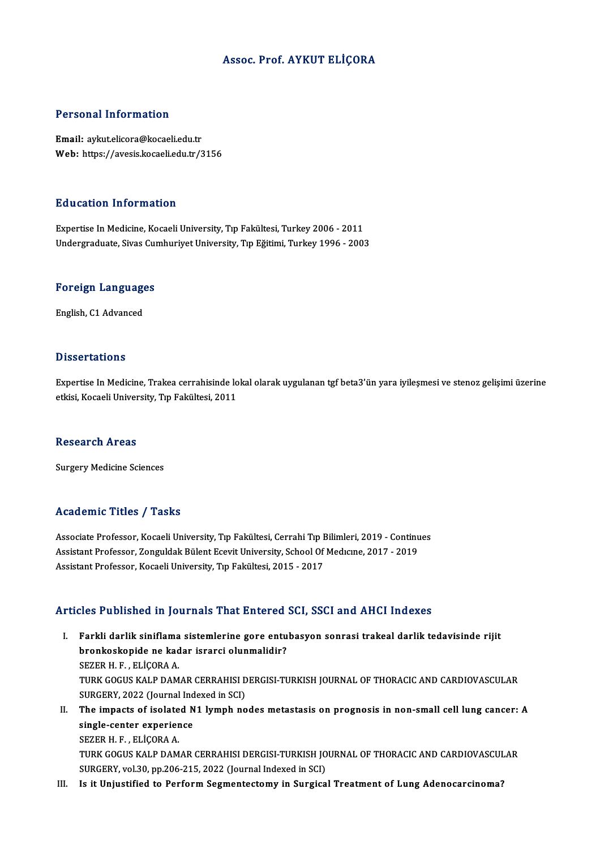### Assoc. Prof. AYKUT ELİÇORA

#### Personal Information

Email: aykut.elicora@kocaeli.edu.tr Web: https://avesis.kocaeli.edu.tr/3156

#### Education Information

Expertise In Medicine, Kocaeli University, Tıp Fakültesi, Turkey 2006 - 2011 Undergraduate, Sivas Cumhuriyet University, Tıp Eğitimi, Turkey 1996 - 2003

# <sub>ondergraduate, sivas cui<br>Foreign Languages</sub> <mark>Foreign Language</mark><br>English, C1 Advanced

English, C1 Advanced<br>Dissertations

Dissertations<br>Expertise In Medicine, Trakea cerrahisinde lokal olarak uygulanan tgf beta3'ün yara iyileşmesi ve stenoz gelişimi üzerine<br>Strisi Kogoeli University Tın Felsültesi, 2011 e 1990t tatrono<br>Expertise In Medicine, Trakea cerrahisinde lo<br>etkisi, Kocaeli University, Tıp Fakültesi, 2011 etkisi, Kocaeli University, Tıp Fakültesi, 2011<br>Research Areas

**Surgery Medicine Sciences** 

### Academic Titles / Tasks

Academic Titles / Tasks<br>Associate Professor, Kocaeli University, Tıp Fakültesi, Cerrahi Tıp Bilimleri, 2019 - Continues<br>Assistant Professor, Zonguldak Bülant Fesuit University, Sebaal Of Medisine, 2017, 2019 Associate Professor, Kocaeli University, Tıp Fakültesi, Cerrahi Tıp Bilimleri, 2019 - Continu<br>Assistant Professor, Zonguldak Bülent Ecevit University, School Of Medıcıne, 2017 - 2019<br>Assistant Professor, Kosaeli University Assistant Professor, Zonguldak Bülent Ecevit University, School Of Medicine, 2017 - 2019<br>Assistant Professor, Kocaeli University, Tip Fakültesi, 2015 - 2017

### Articles Published in Journals That Entered SCI, SSCI and AHCI Indexes

- rticles Published in Journals That Entered SCI, SSCI and AHCI Indexes<br>I. Farkli darlik siniflama sistemlerine gore entubasyon sonrasi trakeal darlik tedavisinde rijit<br>hrankaskanida na kadar israrsi alunmalidir? bronkoskopide in journalis riac Encorea<br>Farkli darlik siniflama sistemlerine gore entu<br>bronkoskopide ne kadar israrci olunmalidir?<br>SEZER H E ELİCORA A Farkli darlik siniflama<br>bronkoskopide ne kad<br>SEZER H. F. , ELİÇORA A.<br>TURK COCUS KALP DAM bronkoskopide ne kadar israrci olunmalidir?<br>SEZER H. F. , ELİÇORA A.<br>TURK GOGUS KALP DAMAR CERRAHISI DERGISI-TURKISH JOURNAL OF THORACIC AND CARDIOVASCULAR<br>SURCERY 2022 (Journal Indoved in SCI) SEZER H. F. , ELİÇORA A.<br>TURK GOGUS KALP DAMAR CERRAHISI D<br>SURGERY, 2022 (Journal Indexed in SCI)<br>The impasts of isolated N1 lumph po TURK GOGUS KALP DAMAR CERRAHISI DERGISI-TURKISH JOURNAL OF THORACIC AND CARDIOVASCULAR<br>SURGERY, 2022 (Journal Indexed in SCI)<br>II. The impacts of isolated N1 lymph nodes metastasis on prognosis in non-small cell lung cancer
- SURGERY, 2022 (Journal Ind<br>The impacts of isolated N<br>single-center experience The impacts of isolate<br>single-center experier<br>SEZER H. F., ELİÇORA A.<br>TURK COCUS KALP DAM single-center experience<br>SEZER H. F. , ELİÇORA A.<br>TURK GOGUS KALP DAMAR CERRAHISI DERGISI-TURKISH JOURNAL OF THORACIC AND CARDIOVASCULAR<br>SURCERY 110|20, pp.206-215-2022 (Journal Indoved in SCI) SEZER H. F. , ELİÇORA A.<br>TURK GOGUS KALP DAMAR CERRAHISI DERGISI-TURKISH JO<br>SURGERY, vol.30, pp.206-215, 2022 (Journal Indexed in SCI)<br>Is it Univetified to Borform Segmontastomu in Surgise TURK GOGUS KALP DAMAR CERRAHISI DERGISI-TURKISH JOURNAL OF THORACIC AND CARDIOVASCUI<br>SURGERY, vol.30, pp.206-215, 2022 (Journal Indexed in SCI)<br>III. Is it Unjustified to Perform Segmentectomy in Surgical Treatment of Lung
-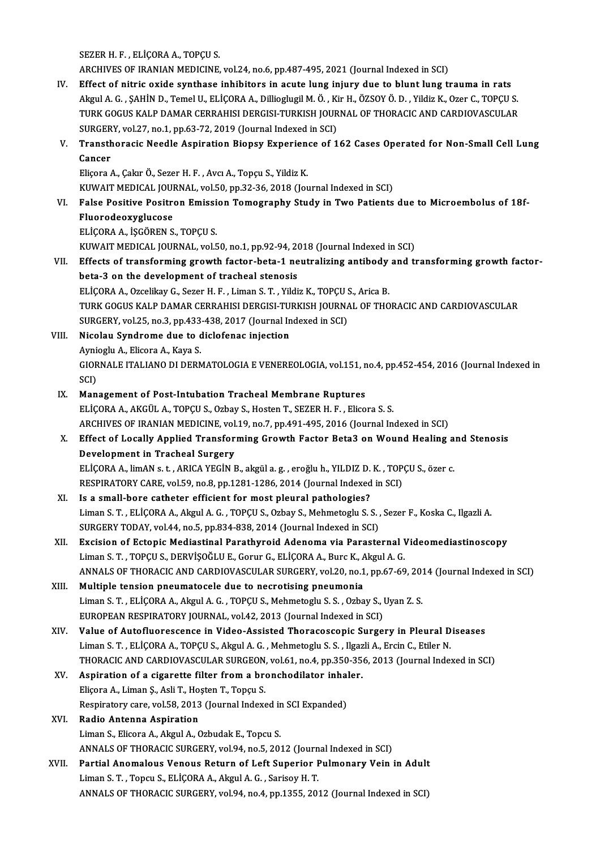SEZER H. F., ELİÇORA A., TOPÇU S.

ARCHIVES OF IRANIAN MEDICINE, vol.24, no.6, pp.487-495, 2021 (Journal Indexed in SCI)

IV. Effect of nitric oxide synthase inhibitors in acute lung injury due to blunt lung trauma in rats ARCHIVES OF IRANIAN MEDICINE, vol.24, no.6, pp.487-495, 2021 (Journal Indexed in SCI)<br>Effect of nitric oxide synthase inhibitors in acute lung injury due to blunt lung trauma in rats<br>Akgul A. G. , SAHİN D., Temel U., ELİÇO Effect of nitric oxide synthase inhibitors in acute lung injury due to blunt lung trauma in rats<br>Akgul A. G. , ŞAHİN D., Temel U., ELİÇORA A., Dillioglugil M. Ö. , Kir H., ÖZSOY Ö. D. , Yildiz K., Ozer C., TOPÇU S<br>TURK GOG Akgul A. G. , ŞAHİN D., Temel U., ELİÇORA A., Dillioglugil M. Ö. , Ki<br>TURK GOGUS KALP DAMAR CERRAHISI DERGISI-TURKISH JOUR<br>SURGERY, vol.27, no.1, pp.63-72, 2019 (Journal Indexed in SCI)<br>Transthorasis Noodle Aspiration Bian TURK GOGUS KALP DAMAR CERRAHISI DERGISI-TURKISH JOURNAL OF THORACIC AND CARDIOVASCULAR<br>SURGERY, vol.27, no.1, pp.63-72, 2019 (Journal Indexed in SCI)<br>V. Transthoracic Needle Aspiration Biopsy Experience of 162 Cases Operat

# SURGER<br>Transth<br>Cancer Transthoracic Needle Aspiration Biopsy Experien<br>Cancer<br>Eliçora A., Çakır Ö., Sezer H. F. , Avcı A., Topçu S., Yildiz K.<br>KUWAE MEDICAL JOUPNAL, vel 50, np 32, 26, 2018 (Jou

Cancer<br>Eliçora A., Çakır Ö., Sezer H. F. , Avcı A., Topçu S., Yildiz K.<br>KUWAIT MEDICAL JOURNAL, vol.50, pp.32-36, 2018 (Journal Indexed in SCI)<br>False Positive Positron Emission Tomography Study in Two Potionts

## Eliçora A., Çakır Ö., Sezer H. F. , Avcı A., Topçu S., Yildiz K.<br>KUWAIT MEDICAL JOURNAL, vol.50, pp.32-36, 2018 (Journal Indexed in SCI)<br>VI. False Positive Positron Emission Tomography Study in Two Patients due to Micro KUWAIT MEDICAL JOUI<br>False Positive Positre<br>Fluorodeoxyglucose<br>ELICOPA A - ISCÕPEN S False Positive Positron Emissi<br>Fluorodeoxyglucose<br>ELİÇORA A., İŞGÖREN S., TOPÇU S.<br>KUMALT MEDICAL JOUPNAL, YOLE Fluorodeoxyglucose<br>ELİÇORA A., İŞGÖREN S., TOPÇU S.<br>KUWAIT MEDICAL JOURNAL, vol.50, no.1, pp.92-94, 2018 (Journal Indexed in SCI)<br>Effects of transforming grouth fector beta 1 noutralising antibody and ti ELİÇORA A., İŞGÖREN S., TOPÇU S.<br>KUWAIT MEDICAL JOURNAL, vol.50, no.1, pp.92-94, 2018 (Journal Indexed in SCI)<br>VII. Effects of transforming growth factor-beta-1 neutralizing antibody and transforming growth factor-<br>het

## KUWAIT MEDICAL JOURNAL, vol.50, no.1, pp.92-94, 20<br>Effects of transforming growth factor-beta-1 ne<br>beta-3 on the development of tracheal stenosis<br>ELICORA A. Ozasliky C. Sezan H. E. Liman S. T. Vildi Effects of transforming growth factor-beta-1 neutralizing antibody<br>beta-3 on the development of tracheal stenosis<br>ELİÇORA A., Ozcelikay G., Sezer H. F. , Liman S. T. , Yildiz K., TOPÇU S., Arica B.<br>TURK COCUS KALB DAMAR CE beta-3 on the development of tracheal stenosis<br>ELİÇORA A., Ozcelikay G., Sezer H. F. , Liman S. T. , Yildiz K., TOPÇU S., Arica B.<br>TURK GOGUS KALP DAMAR CERRAHISI DERGISI-TURKISH JOURNAL OF THORACIC AND CARDIOVASCULAR ELİÇORA A., Ozcelikay G., Sezer H. F. , Liman S. T. , Yildiz K., TOPÇU S.<br>TURK GOGUS KALP DAMAR CERRAHISI DERGISI-TURKISH JOURNA<br>SURGERY, vol.25, no.3, pp.433-438, 2017 (Journal Indexed in SCI)<br>Nisolou Sundromo duo to diel

- VIII. Nicolau Syndrome due to diclofenac injection SURGERY, vol.25, no.3, pp.433<br>Nicolau Syndrome due to d<br>Aynioglu A., Elicora A., Kaya S.<br>CIOPNALE ITALIANO DI DEPA GIORNALE ITALIANO DI DERMATOLOGIA E VENEREOLOGIA, vol.151, no.4, pp.452-454, 2016 (Journal Indexed in SCI) Aynioglu A., Elicora A., Kaya S.
	- IX. Management of Post-Intubation Tracheal Membrane Ruptures ELİÇORA A., AKGÜL A., TOPÇU S., Ozbay S., Hosten T., SEZER H. F., Elicora S. S. Management of Post-Intubation Tracheal Membrane Ruptures<br>ELİÇORA A., AKGÜL A., TOPÇU S., Ozbay S., Hosten T., SEZER H. F. , Elicora S. S.<br>ARCHIVES OF IRANIAN MEDICINE, vol.19, no.7, pp.491-495, 2016 (Journal Indexed in SCI
	- X. Effect of Locally Applied Transforming Growth Factor Beta3 on Wound Healing and Stenosis<br>Development in Tracheal Surgery ARCHIVES OF IRANIAN MEDICINE, vol.<br>Effect of Locally Applied Transfor<br>Development in Tracheal Surgery<br>ELICOPA A LimAN a t. ABICA VECIN L Effect of Locally Applied Transforming Growth Factor Beta3 on Wound Healing a<br>Development in Tracheal Surgery<br>ELİÇORA A., limAN s. t. , ARICA YEGİN B., akgül a. g. , eroğlu h., YILDIZ D. K. , TOPÇU S., özer c.<br>PESPIRATORY Development in Tracheal Surgery<br>ELİÇORA A., limAN s. t. , ARICA YEGİN B., akgül a. g. , eroğlu h., YILDIZ D. K. , TOP<br>RESPIRATORY CARE, vol.59, no.8, pp.1281-1286, 2014 (Journal Indexed in SCI)<br>Is a small bara satbatar aff ELİÇORA A., limAN s. t., ARICA YEGİN B., akgül a. g., eroğlu h., YILDIZ D.<br>RESPIRATORY CARE, vol.59, no.8, pp.1281-1286, 2014 (Journal Indexed<br>XI. Is a small-bore catheter efficient for most pleural pathologies?<br>Liman S.T.
- RESPIRATORY CARE, vol.59, no.8, pp.1281-1286, 2014 (Journal Indexed in SCI)<br>Is a small-bore catheter efficient for most pleural pathologies?<br>Liman S. T. , ELİÇORA A., Akgul A. G. , TOPÇU S., Ozbay S., Mehmetoglu S. S. , Se Is a small-bore catheter efficient for most pleural pathologies?<br>Liman S. T. , ELİÇORA A., Akgul A. G. , TOPÇU S., Ozbay S., Mehmetoglu S. S. ,<br>SURGERY TODAY, vol.44, no.5, pp.834-838, 2014 (Journal Indexed in SCI)<br>Excisio Liman S. T. , ELİÇORA A., Akgul A. G. , TOPÇU S., Ozbay S., Mehmetoglu S. S. , Sezer F., Koska C., Ilgazli A.<br>SURGERY TODAY, vol.44, no.5, pp.834-838, 2014 (Journal Indexed in SCI)<br>XII. Excision of Ectopic Mediastinal Para
- SURGERY TODAY, vol.44, no.5, pp.834-838, 2014 (Journal Indexed in SCI)<br>Excision of Ectopic Mediastinal Parathyroid Adenoma via Parasternal V<br>Liman S. T. , TOPÇU S., DERVİŞOĞLU E., Gorur G., ELİÇORA A., Burc K., Akgul A. G. Excision of Ectopic Mediastinal Parathyroid Adenoma via Parasternal Videomediastinoscopy<br>Liman S. T. , TOPÇU S., DERVİŞOĞLU E., Gorur G., ELİÇORA A., Burc K., Akgul A. G.<br>ANNALS OF THORACIC AND CARDIOVASCULAR SURGERY, vol. Liman S. T., TOPÇU S., DERVİŞOĞLU E., Gorur G., ELİÇORA A., Burc K., A<br>ANNALS OF THORACIC AND CARDIOVASCULAR SURGERY, vol.20, no.1<br>XIII. Multiple tension pneumatocele due to necrotising pneumonia
- ANNALS OF THORACIC AND CARDIOVASCULAR SURGERY, vol.20, no.1, pp.67-69, 201<br>Multiple tension pneumatocele due to necrotising pneumonia<br>Liman S. T. , ELİÇORA A., Akgul A. G. , TOPÇU S., Mehmetoglu S. S. , Ozbay S., Uyan Z. S Multiple tension pneumatocele due to necrotising pneumonia<br>Liman S. T. , ELİÇORA A., Akgul A. G. , TOPÇU S., Mehmetoglu S. S. , Ozbay S., I<br>EUROPEAN RESPIRATORY JOURNAL, vol.42, 2013 (Journal Indexed in SCI)<br>Value of Autof
- EUROPEAN RESPIRATORY JOURNAL, vol.42, 2013 (Journal Indexed in SCI)<br>XIV. Value of Autofluorescence in Video-Assisted Thoracoscopic Surgery in Pleural Diseases Liman S.T., ELİÇORA A., TOPÇU S., Akgul A. G., Mehmetoglu S. S., Ilgazli A., Ercin C., Etiler N. Value of Autofluorescence in Video-Assisted Thoracoscopic Surgery in Pleural Diseases<br>Liman S. T. , ELİÇORA A., TOPÇU S., Akgul A. G. , Mehmetoglu S. S. , Ilgazli A., Ercin C., Etiler N.<br>THORACIC AND CARDIOVASCULAR SURGEON Liman S. T., ELİÇORA A., TOPÇU S., Akgul A. G., Mehmetoglu S. S., Ilgaz<br>THORACIC AND CARDIOVASCULAR SURGEON, vol.61, no.4, pp.350-35<br>XV. Aspiration of a cigarette filter from a bronchodilator inhaler.<br>Elisare A. Liman S. A
- THORACIC AND CARDIOVASCULAR SURGEON<br>Aspiration of a cigarette filter from a bre<br>Eliçora A., Liman Ş., Asli T., Hoşten T., Topçu S.<br>Bespiratory sare, vel 59, 2012 (Journal Indove Aspiration of a cigarette filter from a bronchodilator inhal<br>Eliçora A., Liman Ş., Asli T., Hoşten T., Topçu S.<br>Respiratory care, vol.58, 2013 (Journal Indexed in SCI Expanded)<br>Padie Antenne Aspiration Eliçora A., Liman Ş., Asli T., Hoşten T., Topçu S.<br>Respiratory care, vol.58, 2013 (Journal Indexed in<br>XVI. Radio Antenna Aspiration<br>Liman S., Elicora A., Akgul A., Ozbudak E., Topcu S. Respiratory care, vol.58, 2013 (Journal Indexed in SCI Expanded)

# Radio Antenna Aspiration<br>Liman S., Elicora A., Akgul A., Ozbudak E., Topcu S.<br>ANNALS OF THORACIC SURGERY, vol.94, no.5, 2012 (Journal Indexed in SCI)<br>Pertial Anomaleus Veneus Betunn of Left Sunerier Pulmenery Vein i

Liman S., Elicora A., Akgul A., Ozbudak E., Topcu S.<br>ANNALS OF THORACIC SURGERY, vol.94, no.5, 2012 (Journal Indexed in SCI)<br>XVII. Partial Anomalous Venous Return of Left Superior Pulmonary Vein in Adult ANNALS OF THORACIC SURGERY, vol.94, no.5, 2012 (Journ<br>Partial Anomalous Venous Return of Left Superior I<br>Liman S. T. , Topcu S., ELİÇORA A., Akgul A. G. , Sarisoy H. T.<br>ANNALS OF THOPACIC SUPGERY, vol.04, no.4, np.1255, 20 Partial Anomalous Venous Return of Left Superior Pulmonary Vein in Adult<br>Liman S. T. , Topcu S., ELIÇORA A., Akgul A. G. , Sarisoy H. T.<br>ANNALS OF THORACIC SURGERY, vol.94, no.4, pp.1355, 2012 (Journal Indexed in SCI)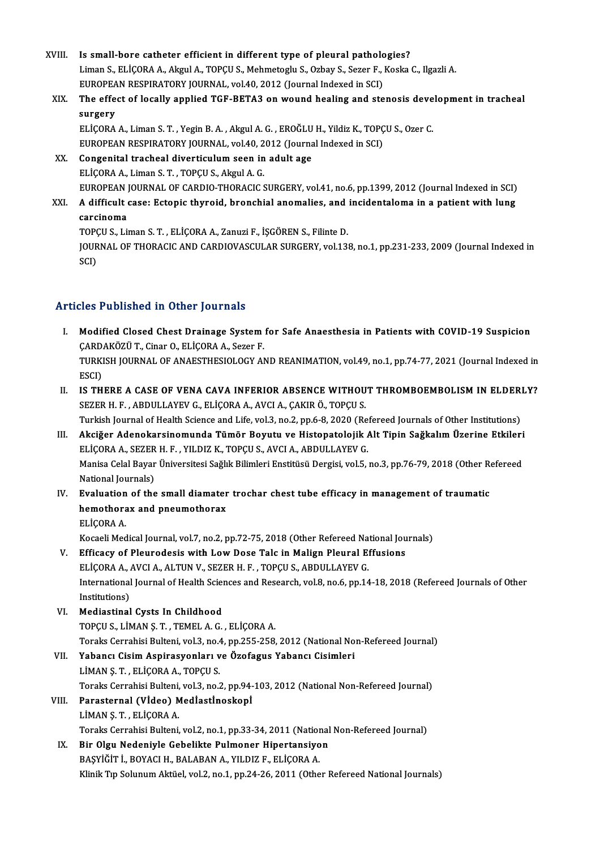- XVIII. Is small-bore catheter efficient in different type of pleural pathologies?<br>Liman S. ELICORA A. Akrul A. TOPCUS, Mehmetegly S. Orboy S. Seren E. Koeka Liman S., ELİÇORA A., Akgul A., TOPÇU S., Mehmetoglu S., Ozbay S., Sezer F., Koska C., Ilgazli A. Is small-bore catheter efficient in different type of pleural patholo<br>Liman S., ELİÇORA A., Akgul A., TOPÇU S., Mehmetoglu S., Ozbay S., Sezer F., .<br>EUROPEAN RESPIRATORY JOURNAL, vol.40, 2012 (Journal Indexed in SCI)<br>The e Liman S., ELİÇORA A., Akgul A., TOPÇU S., Mehmetoglu S., Ozbay S., Sezer F., Koska C., Ilgazli A.<br>EUROPEAN RESPIRATORY JOURNAL, vol.40, 2012 (Journal Indexed in SCI)<br>XIX. The effect of locally applied TGF-BETA3 on woun EUROPEAN RESPIRATORY JOURNAL, vol.40, 2012 (Journal Indexed in SCI)<br>The effect of locally applied TGF-BETA3 on wound healing and ste<br>surgery The effect of locally applied TGF-BETA3 on wound healing and stenosis deve<br>surgery<br>ELİÇORA A., Liman S. T. , Yegin B. A. , Akgul A. G. , EROĞLU H., Yildiz K., TOPÇU S., Ozer C.<br>FUROPEAN PESPIRATORY JOURNAL, vol.40, 2012 (J ELICORA A., Liman S. T., Yegin B. A., Akgul A. G., EROĞLU H., Yildiz K., TOPCU S., Ozer C. EUROPEAN RESPIRATORY JOURNAL, vol.40, 2012 (Journal Indexed in SCI)
	- XX. Congenital tracheal diverticulum seen in adult age<br>ELICORA A., Liman S. T., TOPCU S., Akgul A. G. Congenital tracheal diverticulum seen in adult age<br>ELİÇORA A., Liman S. T. , TOPÇU S., Akgul A. G.<br>EUROPEAN JOURNAL OF CARDIO-THORACIC SURGERY, vol.41, no.6, pp.1399, 2012 (Journal Indexed in SCI)<br>A difficult sessu Estenis ELİÇORA A., Liman S. T. , TOPÇU S., Akgul A. G.<br>EUROPEAN JOURNAL OF CARDIO-THORACIC SURGERY, vol.41, no.6, pp.1399, 2012 (Journal Indexed in SCI)<br>XXI. A difficult case: Ectopic thyroid, bronchial anomalies, and inciden
	- EUROPEAN<br>A difficult<br>carcinoma<br>TOPCUS Lis A difficult case: Ectopic thyroid, bronchial anomalies, and<br>carcinoma<br>TOPÇU S., Liman S. T. , ELİÇORA A., Zanuzi F., İŞGÖREN S., Filinte D.<br>JOURNAL OF THORACIC AND CARDJOVASCULAR SURCERY .vel 12

carcinoma<br>TOPÇU S., Liman S. T. , ELİÇORA A., Zanuzi F., İŞGÖREN S., Filinte D.<br>JOURNAL OF THORACIC AND CARDIOVASCULAR SURGERY, vol.138, no.1, pp.231-233, 2009 (Journal Indexed in<br>SCD TOP<sub>)</sub><br>JOUR<br>SCI)

# Articles Published in Other Journals

- rticles Published in Other Journals<br>I. Modified Closed Chest Drainage System for Safe Anaesthesia in Patients with COVID-19 Suspicion<br>CARDAKÖZÜ T. Cinar O. ELİCORA A. Sezer E XOO T WOMONOM IN OMMOT JOUTHAMS<br>Modified Closed Chest Drainage System<br>CARDAKÖZÜT., Cinar O., ELİÇORA A., Sezer F.<br>TURKISH JOURNAL OF ANAESTHESIQLOCY AL TURKISH JOURNAL OF ANAESTHESIOLOGY AND REANIMATION, vol.49, no.1, pp.74-77, 2021 (Journal Indexed in ESCI) ÇARDAKÖZÜ T., Cinar O., ELİÇORA A., Sezer F.
- II. IS THERE A CASE OF VENA CAVA INFERIOR ABSENCE WITHOUT THROMBOEMBOLISM IN ELDERLY? SEZER H.F., ABDULLAYEV G., ELİÇORA A., AVCI A., ÇAKIR Ö., TOPÇU S. IS THERE A CASE OF VENA CAVA INFERIOR ABSENCE WITHOUT THROMBOEMBOLISM IN ELDERI<br>SEZER H. F. , ABDULLAYEV G., ELİÇORA A., AVCI A., ÇAKIR Ö., TOPÇU S.<br>Turkish Journal of Health Science and Life, vol.3, no.2, pp.6-8, 2020 (Re SEZER H. F. , ABDULLAYEV G., ELİÇORA A., AVCI A., ÇAKIR Ö., TOPÇU S.<br>Turkish Journal of Health Science and Life, vol.3, no.2, pp.6-8, 2020 (Refereed Journals of Other Institutions)<br>III. Akciğer Adenokarsinomunda Tümör Boyu
- Turkish Journal of Health Science and Life, vol.3, no.2, pp.6-8, 2020 (Re<br>Akciğer Adenokarsinomunda Tümör Boyutu ve Histopatolojik *I*<br>ELİÇORA A., SEZER H. F. , YILDIZ K., TOPÇU S., AVCI A., ABDULLAYEV G.<br>Manisa Calal Baya Akciğer Adenokarsinomunda Tümör Boyutu ve Histopatolojik Alt Tipin Sağkalım Üzerine Etkileri<br>ELİÇORA A., SEZER H. F. , YILDIZ K., TOPÇU S., AVCI A., ABDULLAYEV G.<br>Manisa Celal Bayar Üniversitesi Sağlık Bilimleri Enstitüsü ELİÇORA A., SEZER H. F. , YILDIZ K., TOPÇU S., AVCI A., ABDULLAYEV G.<br>Manisa Celal Bayar Üniversitesi Sağlık Bilimleri Enstitüsü Dergisi, vol.5, no.3, pp.76-79, 2018 (Other Refereed<br>National Journals) Manisa Celal Bayar Üniversitesi Sağlık Bilimleri Enstitüsü Dergisi, vol.5, no.3, pp.76-79, 2018 (Other Renal diamater trochar chest tube efficacy in management of traumatic<br>IV. Evaluation of the small diamater trochar ches
- National Journals)<br>Evaluation of the small diamater<br>hemothorax and pneumothorax<br>ELICORAA Evaluation<br>hemothora<br>ELİÇORA A.<br>Kassali Mad hemothorax and pneumothorax<br>ELİÇORA A.<br>Kocaeli Medical Journal, vol.7, no.2, pp.72-75, 2018 (Other Refereed National Journals)<br>Efficesy of Plaunodesis with Low Dose Tale in Malian Plaunal Effusions ELİÇORA A.<br>Kocaeli Medical Journal, vol.7, no.2, pp.72-75, 2018 (Other Refereed National Jou<br>V. Efficacy of Pleurodesis with Low Dose Talc in Malign Pleural Effusions

- Kocaeli Medical Journal, vol.7, no.2, pp.72-75, 2018 (Other Refereed Na<br>Efficacy of Pleurodesis with Low Dose Talc in Malign Pleural E<br>ELİÇORA A., AVCI A., ALTUN V., SEZER H. F. , TOPÇU S., ABDULLAYEV G.<br>International Jour International Journal of Health Sciences and Research, vol.8, no.6, pp.14-18, 2018 (Refereed Journals of Other<br>Institutions) ELİÇORA A., AVCI A., ALTUN V., SEZER H. F., TOPÇU S., ABDULLAYEV G.
- VI. Mediastinal Cysts In Childhood TOPÇUS.,LİMANŞ.T. ,TEMELA.G. ,ELİÇORAA. Mediastinal Cysts In Childhood<br>TOPÇU S., LİMAN Ş. T. , TEMEL A. G. , ELİÇORA A.<br>Toraks Cerrahisi Bulteni, vol.3, no.4, pp.255-258, 2012 (National Non-Refereed Journal)<br>Yahaney Cisim Asnirasyonları ve Özefegye Yahaney Cisim
- VII. Yabancı Cisim Aspirasyonları ve Özofagus Yabancı Cisimleri<br>LİMAN S. T., ELİÇORA A., TOPÇU S. Toraks Cerrahisi Bulteni, vol.3, no.4<br>Yabancı Cisim Aspirasyonları v<br>LİMAN Ş. T. , ELİÇORA A., TOPÇU S.<br>Teraka Cerrabisi Bultani vol.3, no.6 Yabancı Cisim Aspirasyonları ve Özofagus Yabancı Cisimleri<br>LİMAN Ş. T. , ELİÇORA A., TOPÇU S.<br>Toraks Cerrahisi Bulteni, vol.3, no.2, pp.94-103, 2012 (National Non-Refereed Journal)<br>Peresterral (Vİdea) Mediastineskeni
- VIII. Parasternal (Vİdeo) Medİastİnoskopİ<br>LİMAN Ş. T., ELİÇORA A. Toraks Cerrahisi Bulteni,<br>Parasternal (Vİdeo) M<br>LİMAN Ş. T. , ELİÇORA A.<br>Teraka Cerrahisi Bulteni Toraks Cerrahisi Bulteni, vol.2, no.1, pp.33-34, 2011 (National Non-Refereed Journal)
	- IX. Bir Olgu Nedeniyle Gebelikte Pulmoner Hipertansiyon BAŞYİĞİTİ.,BOYACIH.,BALABANA.,YILDIZ F.,ELİÇORAA. Klinik Tıp Solunum Aktüel, vol.2, no.1, pp.24-26, 2011 (Other Refereed National Journals)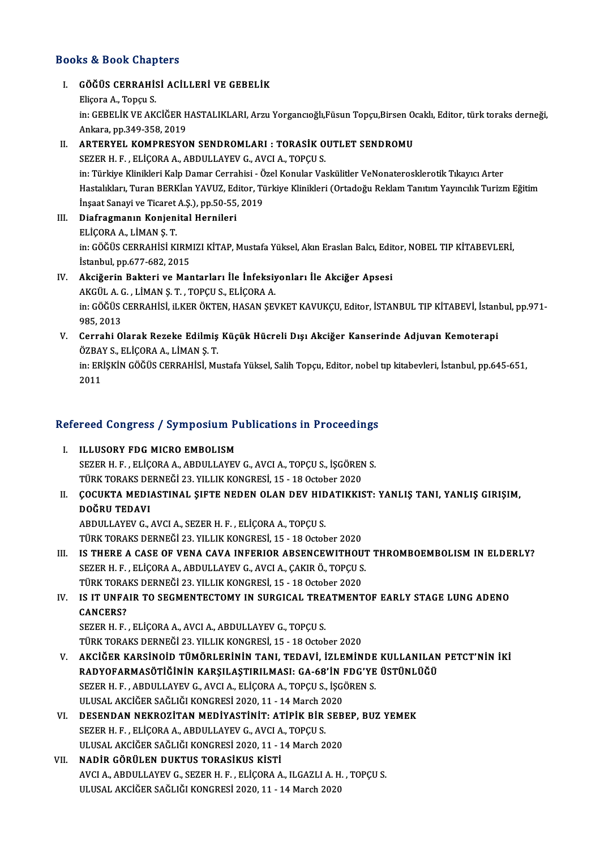### Books&Book Chapters

I. GÖĞÜS CERRAHİSİ ACİLLERİ VE GEBELİK EliçoraA.,Topçu S. GÖĞÜS CERRAHİSİ ACİLLERİ VE GEBELİK<br>Eliçora A., Topçu S.<br>in: GEBELİK VE AKCİĞER HASTALIKLARI, Arzu Yorgancıoğlı,Füsun Topçu,Birsen Ocaklı, Editor, türk toraks derneği, Eliçora A., Topçu S.<br>in: GEBELİK VE AKCİĞER H<br>Ankara, pp.349-358, 2019<br>APTERVEL *V*OMPRESVO

# in: GEBELİK VE AKCİĞER HASTALIKLARI, Arzu Yorgancıoğlı, Füsun Topçu, Birsen O.<br>Ankara, pp.349-358, 2019<br>II. ARTERYEL KOMPRESYON SENDROMLARI : TORASİK OUTLET SENDROMU<br>SEZER U E ELİCORA A ARDIJI AVEV CAVCLA TORCU S Ankara, pp.349-358, 2019<br>II. ARTERYEL KOMPRESYON SENDROMLARI : TORASIK OUTLET SENDROMU<br>SEZER H. F. , ELİÇORA A., ABDULLAYEV G., AVCI A., TOPÇU S.

in: Türkiye Klinikleri Kalp Damar Cerrahisi - Özel Konular Vaskülitler VeNonaterosklerotik Tıkayıcı Arter SEZER H. F. , ELİÇORA A., ABDULLAYEV G., AVCI A., TOPÇU S.<br>in: Türkiye Klinikleri Kalp Damar Cerrahisi - Özel Konular Vaskülitler VeNonaterosklerotik Tıkayıcı Arter<br>Hastalıkları, Turan BERKİan YAVUZ, Editor, Türkiye Klinik in: Türkiye Klinikleri Kalp Damar Cerrahisi - Ö<br>Hastalıkları, Turan BERKİan YAVUZ, Editor, Tü<br>İnşaat Sanayi ve Ticaret A.Ş.), pp.50-55, 2019<br>Diafragmanın Konionital Harnilari İnşaat Sanayi ve Ticaret A.Ş.), pp.50-55, 2019

- III. Diafragmanın Konjenital Hernileri<br>ELİÇORA A., LİMAN Ş. T. Diafragmanın Konjenital Hernileri<br>ELİÇORA A., LİMAN Ş. T.<br>in: GÖĞÜS CERRAHİSİ KIRMIZI KİTAP, Mustafa Yüksel, Akın Eraslan Balcı, Editor, NOBEL TIP KİTABEVLERİ,<br>İstanbul an 677,682,2015 ELİÇORA A., LİMAN Ş. T.<br>in: GÖĞÜS CERRAHİSİ KIRM<br>İstanbul, pp.677-682, 2015<br>Aksižorin Baktari ve Mar in: GÖĞÜS CERRAHİSİ KIRMIZI KİTAP, Mustafa Yüksel, Akın Eraslan Balcı, Edit<br>İstanbul, pp.677-682, 2015<br>IV. Akciğerin Bakteri ve Mantarları İle İnfeksiyonları İle Akciğer Apsesi<br>AKCÜLA C. LİMAN S.T. TOPCUS, ELİCORA A
- İstanbul, pp.677-682, 2015<br><mark>Akciğerin Bakteri ve Mantarları İle İnfeksiy</mark><br>AKGÜL A. G. , LİMAN Ş. T. , TOPÇU S., ELİÇORA A.<br>in: GÖĞÜS GERRAHİSİ :LIKER ÖKTEN, HASAN SEY IV. Akciğerin Bakteri ve Mantarları İle İnfeksiyonları İle Akciğer Apsesi<br>AKGÜL A. G. , LİMAN Ş. T. , TOPÇU S., ELİÇORA A.<br>in: GÖĞÜS CERRAHİSİ, iLKER ÖKTEN, HASAN ŞEVKET KAVUKÇU, Editor, İSTANBUL TIP KİTABEVİ, İstanbul, pp AKGÜL A. (<br>in: GÖĞÜS (<br>985, 2013<br>Carrabi O in: GÖĞÜS CERRAHİSİ, iLKER ÖKTEN, HASAN ŞEVKET KAVUKÇU, Editor, İSTANBUL TIP KİTABEVİ, İstanl<br>985, 2013<br>V. Cerrahi Olarak Rezeke Edilmiş Küçük Hücreli Dışı Akciğer Kanserinde Adjuvan Kemoterapi<br>ÖZPAY S. ELİCORA A. LİMAN S.
- 985, 2013<br>Cerrahi Olarak Rezeke Edilmiş<br>ÖZBAY S., ELİÇORA A., LİMAN Ş.T.<br>in: ERİSKİN GÖĞÜS CERRAHİSİ M. Cerrahi Olarak Rezeke Edilmiş Küçük Hücreli Dışı Akciğer Kanserinde Adjuvan Kemoterapi<br>ÖZBAY S., ELİÇORA A., LİMAN Ş. T.<br>in: ERİŞKİN GÖĞÜS CERRAHİSİ, Mustafa Yüksel, Salih Topçu, Editor, nobel tıp kitabevleri, İstanbul, pp ÖZBA'<br>in: ER<br>2011

# 2011<br>Refereed Congress / Symposium Publications in Proceedings

- Efereed Congress / Symposium P<br>I. ILLUSORY FDG MICRO EMBOLISM<br>SEZER H E FLICORA A APDULLAYEU SEZER H. F. , ELİÇORA A., ABDULLAYEV G., AVCI A., TOPÇU S., İŞGÖREN S.<br>SEZER H. F. , ELİÇORA A., ABDULLAYEV G., AVCI A., TOPÇU S., İŞGÖREN S.<br>TÜRK TORAKS DERNEĞİ 22 YU LIK KONCRESİ 15 - 18 Ostabar 2020 IL<mark>LUSORY FDG MICRO EMBOLISM</mark><br>SEZER H. F. , ELİÇORA A., ABDULLAYEV G., AVCI A., TOPÇU S., İŞGÖREN<br>TÜRK TORAKS DERNEĞİ 23. YILLIK KONGRESİ, 15 - 18 October 2020<br>COCUKTA MEDIASTINAL SIETE NEDEN OLAN DEV HIDATIKKIS SEZER H. F. , ELİÇORA A., ABDULLAYEV G., AVCI A., TOPÇU S., İŞGÖREN S.<br>TÜRK TORAKS DERNEĞİ 23. YILLIK KONGRESİ, 15 - 18 October 2020<br>II. ÇOCUKTA MEDIASTINAL ŞIFTE NEDEN OLAN DEV HIDATIKKIST: YANLIŞ TANI, YANLIŞ GIRIŞIM
- TÜRK TORAKS DE<br><mark>ÇOCUKTA MEDL</mark><br>DOĞRU TEDAVI ÇOCUKTA MEDIASTINAL ŞIFTE NEDEN OLAN DEV HID<br>DOĞRU TEDAVI<br>ABDULLAYEV G., AVCI A., SEZER H. F. , ELİÇORA A., TOPÇU S.<br>TÜRK TORAKS DERNEĞİ 22 YU LIK KONCRESİ 15 - 18 Ostob DOĞRU TEDAVI<br>ABDULLAYEV G., AVCI A., SEZER H. F. , ELİÇORA A., TOPÇU S.<br>TÜRK TORAKS DERNEĞİ 23. YILLIK KONGRESİ. 15 - 18 October 2020
- ABDULLAYEV G., AVCI A., SEZER H. F. , ELİÇORA A., TOPÇU S.<br>TÜRK TORAKS DERNEĞİ 23. YILLIK KONGRESİ, 15 18 October 2020<br>III. IS THERE A CASE OF VENA CAVA INFERIOR ABSENCEWITHOUT THROMBOEMBOLISM IN ELDERLY?<br>SEZER U. E. ELİ TÜRK TORAKS DERNEĞİ 23. YILLIK KONGRESİ, 15 - 18 October 2020<br>IS THERE A CASE OF VENA CAVA INFERIOR ABSENCEWITHOUT<br>SEZER H. F., ELİÇORA A., ABDULLAYEV G., AVCI A., ÇAKIR Ö., TOPÇU S.<br>TÜRK TORAKS DERNEĞİ 22. YU LIK KONGRESI IS THERE A CASE OF VENA CAVA INFERIOR ABSENCEWITHOU<br>SEZER H. F. , ELİÇORA A., ABDULLAYEV G., AVCI A., ÇAKIR Ö., TOPÇU S<br>TÜRK TORAKS DERNEĞİ 23. YILLIK KONGRESİ, 15 - 18 October 2020<br>IS IT UNEAIR TO SECMENTECTOMY IN SURCICA SEZER H. F. , ELİÇORA A., ABDULLAYEV G., AVCI A., ÇAKIR Ö., TOPÇU S.<br>TÜRK TORAKS DERNEĞİ 23. YILLIK KONGRESİ, 15 - 18 October 2020<br>IV. IS IT UNFAIR TO SEGMENTECTOMY IN SURGICAL TREATMENTOF EARLY STAGE LUNG ADENO<br>CANGER

# TÜRK TORAKS DERNEĞİ 23. YILLIK KONGRESİ, 15 - 18 October 2020<br>IS IT UNFAIR TO SEGMENTECTOMY IN SURGICAL TREATMENT<br>CANCERS?<br>SEZER H. F. , ELİCORA A., AVCI A., ABDULLAYEV G., TOPCU S. IS IT UNFAIR TO SEGMENTECTOMY IN SURGICAL TRE.<br>CANCERS?<br>SEZER H. F. , ELİÇORA A., AVCI A., ABDULLAYEV G., TOPÇU S.<br>TÜRK TORAKS DERNEĞİ 22 YU LIK KONCRESİ 15 - 18 Ostob

TÜRK TORAKS DERNEĞİ 23. YILLIK KONGRESİ, 15 - 18 October 2020

- SEZER H. F., ELİÇORA A., AVCI A., ABDULLAYEV G., TOPÇU S.<br>TÜRK TORAKS DERNEĞİ 23. YILLIK KONGRESİ, 15 18 October 2020<br>V. AKCİĞER KARSİNOİD TÜMÖRLERİNİN TANI, TEDAVİ, İZLEMİNDE KULLANILAN PETCT'NIN İKİ TÜRK TORAKS DERNEĞİ 23. YILLIK KONGRESİ, 15 - 18 October 2020<br>AKCİĞER KARSİNOİD TÜMÖRLERİNİN TANI, TEDAVİ, İZLEMİNDE KULLANILAN<br>RADYOFARMASÖTİĞİNİN KARŞILAŞTIRILMASI: GA-68'İN FDG'YE ÜSTÜNLÜĞÜ<br>SEZER H. E. ARDIILLAYEV G. AV AKCİĞER KARSINOID TÜMÖRLERININ TANI, TEDAVI, İZLEMINDE<br>RADYOFARMASÖTIĞININ KARŞILAŞTIRILMASI: GA-68'İN FDG'YE<br>SEZER H. F., ABDULLAYEV G., AVCI A., ELİÇORA A., TOPÇU S., İŞGÖREN S.<br>ULUSAL AKÇİĞER SAĞLIĞI KONCRESI 2020-11-14 RADYOFARMASÖTİĞİNİN KARŞILAŞTIRILMASI: GA-68'İN I<br>SEZER H. F. , ABDULLAYEV G., AVCI A., ELİÇORA A., TOPÇU S., İŞG(<br>ULUSAL AKCİĞER SAĞLIĞI KONGRESİ 2020, 11 - 14 March 2020<br>DESENDAN NEKROZİTAN MEDİVASTİNİT. ATİDIK PİR SER SEZER H. F. , ABDULLAYEV G., AVCI A., ELİÇORA A., TOPÇU S., İŞGÖREN S.<br>ULUSAL AKCİĞER SAĞLIĞI KONGRESİ 2020, 11 - 14 March 2020<br>VI. DESENDAN NEKROZİTAN MEDİYASTİNİT: ATİPİK BİR SEBEP, BUZ YEMEK<br>SEZER H. E. ELİÇORA A ABDIH
- ULUSAL AKCİĞER SAĞLIĞI KONGRESİ 2020, 11 14 March 2020<br>DESENDAN NEKROZİTAN MEDİYASTİNİT: ATİPİK BİR SEB<br>SEZER H. F. , ELİÇORA A., ABDULLAYEV G., AVCI A., TOPÇU S.<br>ULUSAL AKCIĞER SAĞLIĞI KONGRESİ 2020, 11 14 March 2020 DESENDAN NEKROZİTAN MEDİYASTİNİT: ATİPİK BİR SEB<br>SEZER H. F. , ELİÇORA A., ABDULLAYEV G., AVCI A., TOPÇU S.<br>ULUSAL AKCİĞER SAĞLIĞI KONGRESİ 2020, 11 - 14 March 2020<br>NADİR GÖRÜLEN DUKTUS TORASİKUS KİSTİ
- VII. NADİR GÖRÜLEN DUKTUS TORASİKUS KİSTİ ULUSAL AKCİĞER SAĞLIĞI KONGRESİ 2020, 11 - 14 March 2020<br>**NADİR GÖRÜLEN DUKTUS TORASİKUS KİSTİ**<br>AVCI A., ABDULLAYEV G., SEZER H. F. , ELİÇORA A., ILGAZLI A. H. , TOPÇU S.<br>ULUSAL AKÇİĞER SAĞLIĞI KONGRESİ 2020, 11 - 14 Marsh NADİR GÖRÜLEN DUKTUS TORASİKUS KİSTİ<br>AVCI A., ABDULLAYEV G., SEZER H. F. , ELİÇORA A., ILGAZLI A. H<br>ULUSAL AKCİĞER SAĞLIĞI KONGRESİ 2020, 11 - 14 March 2020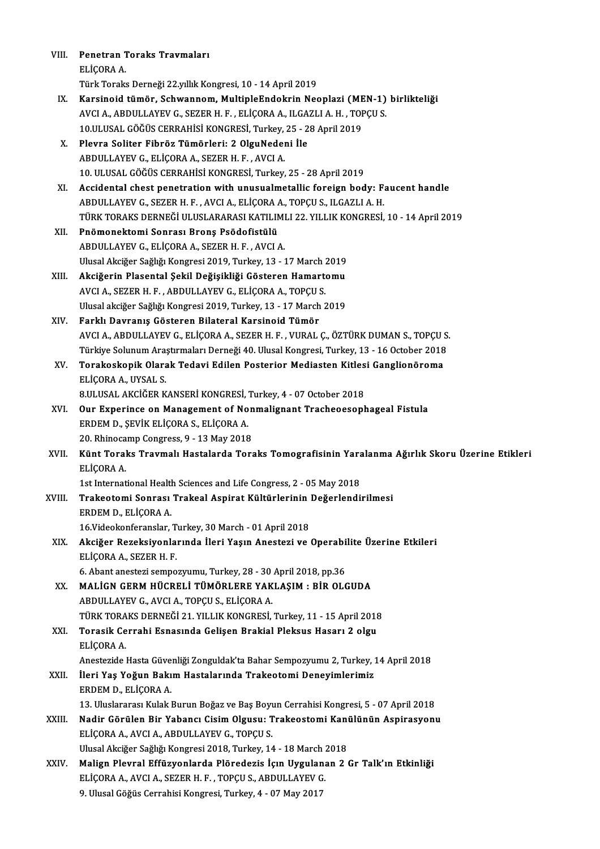| VIII.        | Penetran Toraks Travmaları                                                                                                                                     |
|--------------|----------------------------------------------------------------------------------------------------------------------------------------------------------------|
|              | ELIÇORA A                                                                                                                                                      |
|              | Türk Toraks Derneği 22 yıllık Kongresi, 10 - 14 April 2019                                                                                                     |
| IX.          | Karsinoid tümör, Schwannom, MultipleEndokrin Neoplazi (MEN-1) birlikteliği                                                                                     |
|              | AVCI A., ABDULLAYEV G., SEZER H. F., ELİÇORA A., ILGAZLI A. H., TOPÇU S.                                                                                       |
|              | 10.ULUSAL GÖĞÜS CERRAHİSİ KONGRESİ, Turkey, 25 - 28 April 2019                                                                                                 |
| Х.           | Plevra Soliter Fibröz Tümörleri: 2 OlguNedeni İle                                                                                                              |
|              | ABDULLAYEV G., ELICORA A., SEZER H. F., AVCI A.                                                                                                                |
|              | 10. ULUSAL GÖĞÜS CERRAHİSİ KONGRESİ, Turkey, 25 - 28 April 2019                                                                                                |
|              |                                                                                                                                                                |
| XI.          | Accidental chest penetration with unusualmetallic foreign body: Faucent handle                                                                                 |
|              | ABDULLAYEV G., SEZER H. F., AVCI A., ELIÇORA A., TOPÇU S., ILGAZLI A. H.<br>TÜRK TORAKS DERNEĞİ ULUSLARARASI KATILIMLI 22. YILLIK KONGRESİ, 10 - 14 April 2019 |
|              |                                                                                                                                                                |
| XII.         | Pnömonektomi Sonrası Bronş Psödofistülü                                                                                                                        |
|              | ABDULLAYEV G., ELİÇORA A., SEZER H. F., AVCI A.                                                                                                                |
|              | Ulusal Akciğer Sağlığı Kongresi 2019, Turkey, 13 - 17 March 2019                                                                                               |
| XIII.        | Akciğerin Plasental Şekil Değişikliği Gösteren Hamartomu                                                                                                       |
|              | AVCI A., SEZER H. F., ABDULLAYEV G., ELIÇORA A., TOPÇU S.                                                                                                      |
|              | Ulusal akciğer Sağlığı Kongresi 2019, Turkey, 13 - 17 March 2019                                                                                               |
| XIV.         | Farklı Davranış Gösteren Bilateral Karsinoid Tümör                                                                                                             |
|              | AVCI A., ABDULLAYEV G., ELİÇORA A., SEZER H. F., VURAL Ç., ÖZTÜRK DUMAN S., TOPÇU S.                                                                           |
|              | Türkiye Solunum Araştırmaları Derneği 40. Ulusal Kongresi, Turkey, 13 - 16 October 2018                                                                        |
| XV.          | Torakoskopik Olarak Tedavi Edilen Posterior Mediasten Kitlesi Ganglionöroma                                                                                    |
|              | ELİÇORA A., UYSAL S.                                                                                                                                           |
|              | 8.ULUSAL AKCİĞER KANSERİ KONGRESİ, Turkey, 4 - 07 October 2018                                                                                                 |
| XVI.         | Our Experince on Management of Nonmalignant Tracheoesophageal Fistula                                                                                          |
|              | ERDEM D., ŞEVİK ELİÇORA S., ELİÇORA A.                                                                                                                         |
|              | 20. Rhinocamp Congress, 9 - 13 May 2018                                                                                                                        |
| XVII.        | Künt Toraks Travmalı Hastalarda Toraks Tomografisinin Yaralanma Ağırlık Skoru Üzerine Etikleri<br>ELÍCORA A                                                    |
|              | 1st International Health Sciences and Life Congress, 2 - 05 May 2018                                                                                           |
| <b>XVIII</b> | Trakeotomi Sonrası Trakeal Aspirat Kültürlerinin Değerlendirilmesi                                                                                             |
|              | ERDEM D., ELIÇORA A.                                                                                                                                           |
|              | 16. Videokonferanslar, Turkey, 30 March - 01 April 2018                                                                                                        |
| XIX.         | Akciğer Rezeksiyonlarında İleri Yaşın Anestezi ve Operabilite Üzerine Etkileri                                                                                 |
|              | ELIÇORA A., SEZER H. F.                                                                                                                                        |
|              | 6. Abant anestezi sempozyumu, Turkey, 28 - 30 April 2018, pp.36                                                                                                |
| XX.          | MALİGN GERM HÜCRELİ TÜMÖRLERE YAKLAŞIM: BİR OLGUDA                                                                                                             |
|              | ABDULLAYEV G., AVCI A., TOPÇU S., ELİÇORA A.                                                                                                                   |
|              | TÜRK TORAKS DERNEĞİ 21. YILLIK KONGRESİ, Turkey, 11 - 15 April 2018                                                                                            |
| XXI.         | Torasik Cerrahi Esnasında Gelişen Brakial Pleksus Hasarı 2 olgu                                                                                                |
|              | ELİÇORA A.                                                                                                                                                     |
|              | Anestezide Hasta Güvenliği Zonguldak'ta Bahar Sempozyumu 2, Turkey, 14 April 2018                                                                              |
| XXII.        | İleri Yaş Yoğun Bakım Hastalarında Trakeotomi Deneyimlerimiz                                                                                                   |
|              | ERDEM D., ELİÇORA A.                                                                                                                                           |
|              | 13. Uluslararası Kulak Burun Boğaz ve Baş Boyun Cerrahisi Kongresi, 5 - 07 April 2018                                                                          |
| XXIII.       | Nadir Görülen Bir Yabancı Cisim Olgusu: Trakeostomi Kanülünün Aspirasyonu                                                                                      |
|              | ELİÇORA A., AVCI A., ABDULLAYEV G., TOPÇU S.                                                                                                                   |
|              | Ulusal Akciğer Sağlığı Kongresi 2018, Turkey, 14 - 18 March 2018                                                                                               |
| XXIV.        | Malign Plevral Effüzyonlarda Plöredezis İçın Uygulanan 2 Gr Talk'ın Etkinliği                                                                                  |
|              | ELİÇORA A., AVCI A., SEZER H. F., TOPÇU S., ABDULLAYEV G.                                                                                                      |
|              | 9. Ulusal Göğüs Cerrahisi Kongresi, Turkey, 4 - 07 May 2017                                                                                                    |
|              |                                                                                                                                                                |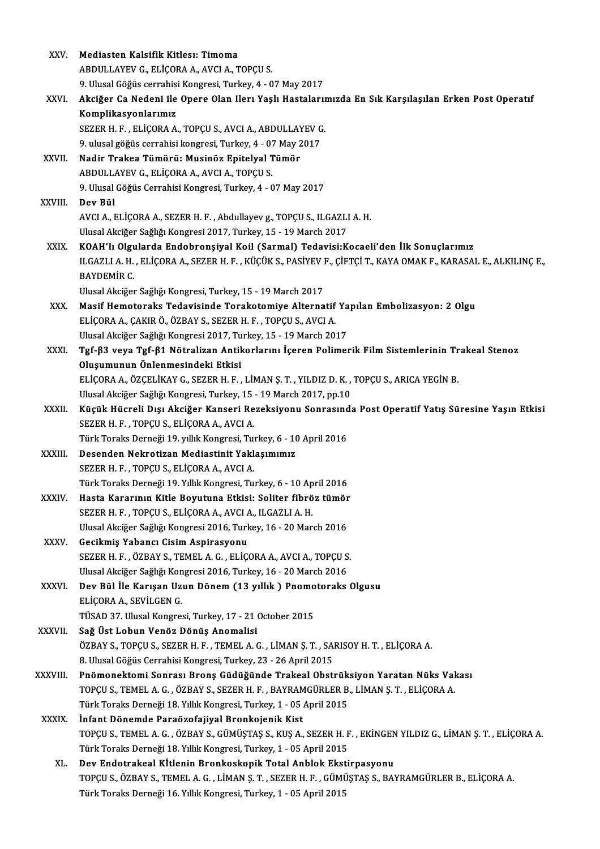| XXV.          | Mediasten Kalsifik Kitlesı: Timoma                                                                              |
|---------------|-----------------------------------------------------------------------------------------------------------------|
|               | ABDULLAYEV G., ELİÇORA A., AVCI A., TOPÇU S.                                                                    |
|               | 9. Ulusal Göğüs cerrahisi Kongresi, Turkey, 4 - 07 May 2017                                                     |
| XXVI.         | Akciğer Ca Nedeni ile Opere Olan Ilerı Yaşlı Hastalarımızda En Sık Karşılaşılan Erken Post Operatıf             |
|               | Komplikasyonlarımız                                                                                             |
|               | SEZER H. F., ELİÇORA A., TOPÇU S., AVCI A., ABDULLAYEV G.                                                       |
|               | 9. ulusal göğüs cerrahisi kongresi, Turkey, 4 - 07 May 2017                                                     |
| XXVII.        | Nadir Trakea Tümörü: Musinöz Epitelyal Tümör                                                                    |
|               | ABDULLAYEV G., ELİÇORA A., AVCI A., TOPÇU S.                                                                    |
|               | 9. Ulusal Göğüs Cerrahisi Kongresi, Turkey, 4 - 07 May 2017                                                     |
| XXVIII.       | Dev Bül                                                                                                         |
|               | AVCI A., ELİÇORA A., SEZER H. F., Abdullayev g., TOPÇU S., ILGAZLI A. H.                                        |
|               | Ulusal Akciğer Sağlığı Kongresi 2017, Turkey, 15 - 19 March 2017                                                |
| XXIX.         | KOAH'lı Olgularda Endobronşiyal Koil (Sarmal) Tedavisi: Kocaeli'den İlk Sonuçlarımız                            |
|               | ILGAZLI A. H., ELİÇORA A., SEZER H. F., KÜÇÜK S., PASİYEV F., ÇİFTÇİ T., KAYA OMAK F., KARASAL E., ALKILINÇ E., |
|               | <b>BAYDEMİR C</b>                                                                                               |
|               | Ulusal Akciğer Sağlığı Kongresi, Turkey, 15 - 19 March 2017                                                     |
| XXX.          | Masif Hemotoraks Tedavisinde Torakotomiye Alternatif Yapılan Embolizasyon: 2 Olgu                               |
|               | ELİÇORA A., ÇAKIR Ö., ÖZBAY S., SEZER H. F. , TOPÇU S., AVCI A.                                                 |
|               | Ulusal Akciğer Sağlığı Kongresi 2017, Turkey, 15 - 19 March 2017                                                |
| XXXI.         | Tgf-β3 veya Tgf-β1 Nötralizan Antikorlarını İçeren Polimerik Film Sistemlerinin Trakeal Stenoz                  |
|               | Oluşumunun Önlenmesindeki Etkisi                                                                                |
|               | ELİÇORA A., ÖZÇELİKAY G., SEZER H. F., LİMAN Ş. T., YILDIZ D. K., TOPÇU S., ARICA YEGİN B.                      |
|               | Ulusal Akciğer Sağlığı Kongresi, Turkey, 15 - 19 March 2017, pp.10                                              |
| XXXII.        | Küçük Hücreli Dışı Akciğer Kanseri Rezeksiyonu Sonrasında Post Operatif Yatış Süresine Yaşın Etkisi             |
|               | SEZER H. F., TOPÇU S., ELİÇORA A., AVCI A.                                                                      |
|               | Türk Toraks Derneği 19. yıllık Kongresi, Turkey, 6 - 10 April 2016                                              |
| XXXIII.       | Desenden Nekrotizan Mediastinit Yaklaşımımız                                                                    |
|               | SEZER H. F., TOPCU S., ELICORA A., AVCI A.                                                                      |
|               | Türk Toraks Derneği 19. Yıllık Kongresi, Turkey, 6 - 10 April 2016                                              |
| <b>XXXIV</b>  | Hasta Kararının Kitle Boyutuna Etkisi: Soliter fibröz tümör                                                     |
|               | SEZER H. F., TOPÇU S., ELİÇORA A., AVCI A., ILGAZLI A. H.                                                       |
|               | Ulusal Akciğer Sağlığı Kongresi 2016, Turkey, 16 - 20 March 2016                                                |
| XXXV.         | Gecikmiş Yabancı Cisim Aspirasyonu                                                                              |
|               | SEZER H. F., ÖZBAY S., TEMEL A. G., ELİÇORA A., AVCI A., TOPÇU S.                                               |
|               | Ulusal Akciğer Sağlığı Kongresi 2016, Turkey, 16 - 20 March 2016                                                |
| XXXVI.        | Dev Bül İle Karışan Uzun Dönem (13 yıllık) Pnomotoraks Olgusu                                                   |
|               | ELİÇORA A., SEVİLGEN G.                                                                                         |
|               | TÜSAD 37. Ulusal Kongresi, Turkey, 17 - 21 October 2015<br>Sağ Üst Lobun Venöz Dönüş Anomalisi                  |
| <b>XXXVII</b> | ÖZBAY S., TOPÇU S., SEZER H. F. , TEMEL A. G. , LİMAN Ş. T. , SARISOY H. T. , ELİÇORA A.                        |
|               | 8. Ulusal Göğüs Cerrahisi Kongresi, Turkey, 23 - 26 April 2015                                                  |
| XXXVIII.      | Pnömonektomi Sonrası Bronş Güdüğünde Trakeal Obstrüksiyon Yaratan Nüks Vakası                                   |
|               | TOPÇU S., TEMEL A. G. , ÖZBAY S., SEZER H. F. , BAYRAMGÜRLER B., LİMAN Ş. T. , ELİÇORA A.                       |
|               | Türk Toraks Derneği 18. Yıllık Kongresi, Turkey, 1 - 05 April 2015                                              |
| <b>XXXIX</b>  | İnfant Dönemde Paraözofajiyal Bronkojenik Kist                                                                  |
|               | TOPÇU S., TEMEL A. G. , ÖZBAY S., GÜMÜŞTAŞ S., KUŞ A., SEZER H. F. , EKİNGEN YILDIZ G., LİMAN Ş. T. , ELİÇORA A |
|               | Türk Toraks Derneği 18. Yıllık Kongresi, Turkey, 1 - 05 April 2015                                              |
| XL.           | Dev Endotrakeal Kitlenin Bronkoskopik Total Anblok Ekstirpasyonu                                                |
|               | TOPÇU S., ÖZBAY S., TEMEL A. G., LİMAN Ş. T., SEZER H. F., GÜMÜŞTAŞ S., BAYRAMGÜRLER B., ELİÇORA A.             |
|               | Türk Toraks Derneği 16. Yıllık Kongresi, Turkey, 1 - 05 April 2015                                              |
|               |                                                                                                                 |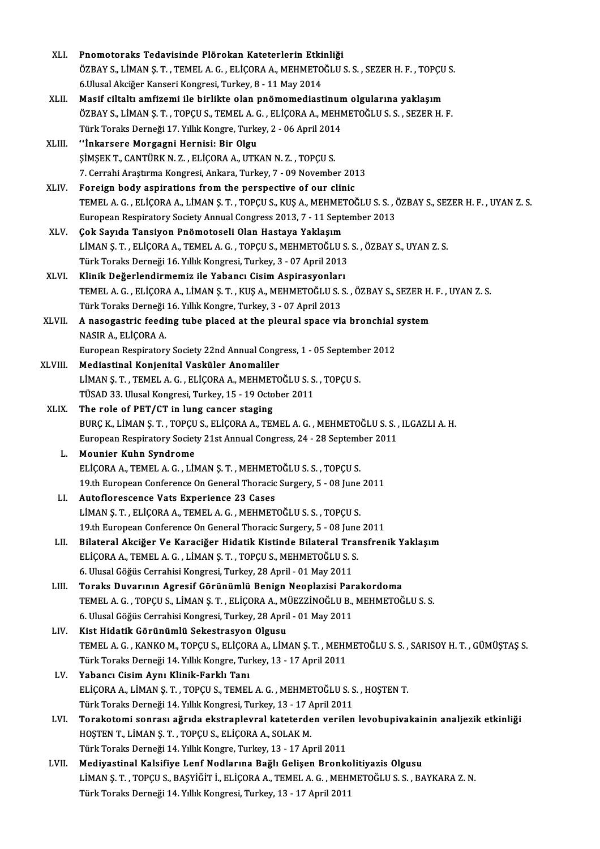| XLI.    | Pnomotoraks Tedavisinde Plörokan Kateterlerin Etkinliği                                                                                                       |
|---------|---------------------------------------------------------------------------------------------------------------------------------------------------------------|
|         | ÖZBAY S., LİMAN Ş. T., TEMEL A. G., ELİÇORA A., MEHMETOĞLU S. S., SEZER H. F., TOPÇU S.                                                                       |
|         | 6. Ulusal Akciğer Kanseri Kongresi, Turkey, 8 - 11 May 2014                                                                                                   |
| XLII.   | Masif ciltaltı amfizemi ile birlikte olan pnömomediastinum olgularına yaklaşım                                                                                |
|         | ÖZBAY S., LİMAN Ş. T., TOPÇU S., TEMEL A. G., ELİÇORA A., MEHMETOĞLU S. S., SEZER H. F.                                                                       |
|         | Türk Toraks Derneği 17. Yıllık Kongre, Turkey, 2 - 06 April 2014                                                                                              |
| XLIII.  | "İnkarsere Morgagni Hernisi: Bir Olgu                                                                                                                         |
|         | ŞİMŞEK T., CANTÜRK N. Z., ELİÇORA A., UTKAN N. Z., TOPÇU S.                                                                                                   |
|         | 7. Cerrahi Araştırma Kongresi, Ankara, Turkey, 7 - 09 November 2013                                                                                           |
| XLIV.   | Foreign body aspirations from the perspective of our clinic                                                                                                   |
|         | TEMEL A. G., ELIÇORA A., LIMAN Ş. T., TOPÇU S., KUŞ A., MEHMETOĞLU S. S., ÖZBAY S., SEZER H. F., UYAN Z. S.                                                   |
|         | European Respiratory Society Annual Congress 2013, 7 - 11 September 2013                                                                                      |
| XLV.    | Çok Sayıda Tansiyon Pnömotoseli Olan Hastaya Yaklaşım                                                                                                         |
|         | LİMAN Ş. T., ELİÇORA A., TEMEL A. G., TOPÇU S., MEHMETOĞLU S. S., ÖZBAY S., UYAN Z. S.                                                                        |
|         |                                                                                                                                                               |
|         | Türk Toraks Derneği 16. Yıllık Kongresi, Turkey, 3 - 07 April 2013                                                                                            |
| XLVI.   | Klinik Değerlendirmemiz ile Yabancı Cisim Aspirasyonları<br>TEMEL A. G., ELIÇORA A., LIMAN Ş. T., KUŞ A., MEHMETOĞLU S. S., ÖZBAY S., SEZER H. F., UYAN Z. S. |
|         |                                                                                                                                                               |
|         | Türk Toraks Derneği 16. Yıllık Kongre, Turkey, 3 - 07 April 2013                                                                                              |
| XLVII.  | A nasogastric feeding tube placed at the pleural space via bronchial system<br>NASIR A., ELIÇORA A.                                                           |
|         |                                                                                                                                                               |
|         | European Respiratory Society 22nd Annual Congress, 1 - 05 September 2012                                                                                      |
| XLVIII. | Mediastinal Konjenital Vasküler Anomaliler                                                                                                                    |
|         | LİMAN Ş. T., TEMEL A. G., ELİÇORA A., MEHMETOĞLU S. S., TOPÇU S.                                                                                              |
|         | TÜSAD 33. Ulusal Kongresi, Turkey, 15 - 19 October 2011                                                                                                       |
| XLIX.   | The role of PET/CT in lung cancer staging                                                                                                                     |
|         | BURÇ K., LİMAN Ş. T., TOPÇU S., ELİÇORA A., TEMEL A. G., MEHMETOĞLU S. S., ILGAZLI A. H.                                                                      |
|         | European Respiratory Society 21st Annual Congress, 24 - 28 September 2011                                                                                     |
| L.      | <b>Mounier Kuhn Syndrome</b>                                                                                                                                  |
|         | ELIÇORA A., TEMEL A. G., LIMAN Ş. T., MEHMETOĞLU S. S., TOPCU S.                                                                                              |
|         | 19th European Conference On General Thoracic Surgery, 5 - 08 June 2011                                                                                        |
| LI.     | Autoflorescence Vats Experience 23 Cases                                                                                                                      |
|         | LIMAN Ș. T., ELIÇORA A., TEMEL A. G., MEHMETOĞLU S. S., TOPÇU S.                                                                                              |
|         | 19th European Conference On General Thoracic Surgery, 5 - 08 June 2011                                                                                        |
| LII.    | Bilateral Akciğer Ve Karaciğer Hidatik Kistinde Bilateral Transfrenik Yaklaşım                                                                                |
|         | ELIÇORA A., TEMEL A. G., LIMAN Ş. T., TOPÇU S., MEHMETOĞLU S. S.                                                                                              |
|         | 6. Ulusal Göğüs Cerrahisi Kongresi, Turkey, 28 April - 01 May 2011                                                                                            |
| LIII.   | Toraks Duvarının Agresif Görünümlü Benign Neoplazisi Parakordoma                                                                                              |
|         | TEMEL A. G., TOPÇU S., LİMAN Ş. T., ELİÇORA A., MÜEZZİNOĞLU B., MEHMETOĞLU S. S.                                                                              |
|         | 6. Ulusal Göğüs Cerrahisi Kongresi, Turkey, 28 April - 01 May 2011                                                                                            |
| LIV.    | Kist Hidatik Görünümlü Sekestrasyon Olgusu                                                                                                                    |
|         | TEMEL A. G., KANKO M., TOPÇU S., ELİÇORA A., LİMAN Ş. T., MEHMETOĞLU S. S., SARISOY H. T., GÜMÜŞTAŞ S.                                                        |
|         | Türk Toraks Derneği 14. Yıllık Kongre, Turkey, 13 - 17 April 2011                                                                                             |
| LV.     | Yabancı Cisim Aynı Klinik-Farklı Tanı                                                                                                                         |
|         | ELIÇORA A., LIMAN Ş. T., TOPÇU S., TEMEL A. G., MEHMETOĞLU S. S., HOŞTEN T.                                                                                   |
|         | Türk Toraks Derneği 14. Yıllık Kongresi, Turkey, 13 - 17 April 2011                                                                                           |
| LVI.    | Torakotomi sonrası ağrıda ekstraplevral kateterden verilen levobupivakainin analjezik etkinliği                                                               |
|         | HOSTEN T., LİMAN Ş. T., TOPÇU S., ELİÇORA A., SOLAK M.                                                                                                        |
|         | Türk Toraks Derneği 14. Yıllık Kongre, Turkey, 13 - 17 April 2011                                                                                             |
| LVII.   | Mediyastinal Kalsifiye Lenf Nodlarına Bağlı Gelişen Bronkolitiyazis Olgusu                                                                                    |
|         | LİMAN Ş. T. , TOPÇU S., BAŞYİĞİT İ., ELİÇORA A., TEMEL A. G. , MEHMETOĞLU S. S. , BAYKARA Z. N.                                                               |
|         | Türk Toraks Derneği 14. Yıllık Kongresi, Turkey, 13 - 17 April 2011                                                                                           |
|         |                                                                                                                                                               |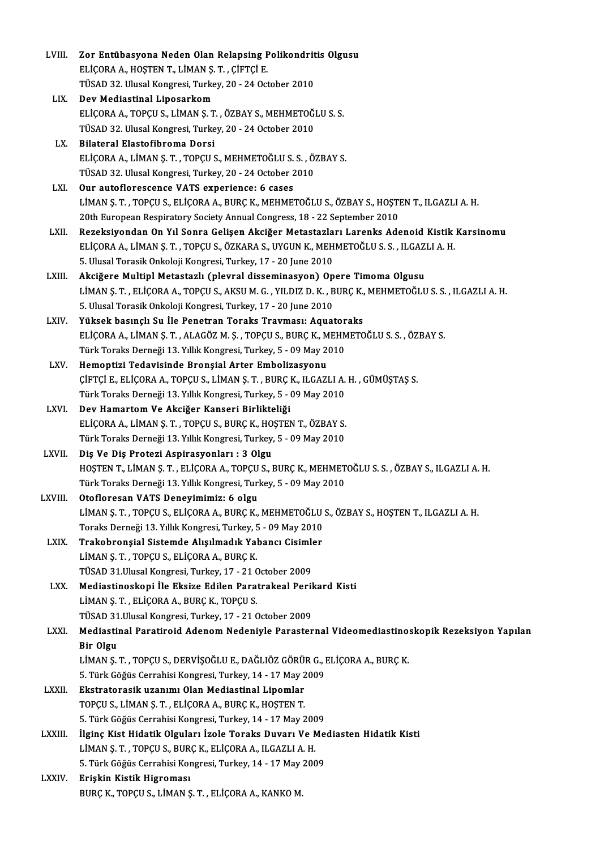| LVIII.         | Zor Entübasyona Neden Olan Relapsing Polikondritis Olgusu                                                |
|----------------|----------------------------------------------------------------------------------------------------------|
|                | ELİÇORA A., HOŞTEN T., LİMAN Ş. T., ÇİFTÇİ E.                                                            |
|                | TÜSAD 32. Ulusal Kongresi, Turkey, 20 - 24 October 2010                                                  |
| LIX.           | Dev Mediastinal Liposarkom                                                                               |
|                | ELIÇORA A., TOPÇU S., LIMAN Ş. T., ÖZBAY S., MEHMETOĞLU S. S.                                            |
|                | TÜSAD 32. Ulusal Kongresi, Turkey, 20 - 24 October 2010                                                  |
| LX.            | Bilateral Elastofibroma Dorsi                                                                            |
|                | ELİÇORA A., LİMAN Ş. T., TOPÇU S., MEHMETOĞLU S. S., ÖZBAY S.                                            |
|                | TÜSAD 32. Ulusal Kongresi, Turkey, 20 - 24 October 2010                                                  |
| LXI.           | Our autoflorescence VATS experience: 6 cases                                                             |
|                | LIMAN Ş. T., TOPÇU S., ELIÇORA A., BURÇ K., MEHMETOĞLU S., ÖZBAY S., HOŞTEN T., ILGAZLI A. H.            |
|                | 20th European Respiratory Society Annual Congress, 18 - 22 September 2010                                |
| LXII.          | Rezeksiyondan On Yıl Sonra Gelişen Akciğer Metastazları Larenks Adenoid Kistik Karsinomu                 |
|                | ELIÇORA A., LIMAN Ş. T., TOPÇU S., ÖZKARA S., UYGUN K., MEHMETOĞLU S. S., ILGAZLI A. H.                  |
|                | 5. Ulusal Torasik Onkoloji Kongresi, Turkey, 17 - 20 June 2010                                           |
| LXIII.         | Akciğere Multipl Metastazlı (plevral disseminasyon) Opere Timoma Olgusu                                  |
|                | LIMAN Ș. T., ELIÇORA A., TOPÇU S., AKSU M. G., YILDIZ D. K., BURÇ K., MEHMETOĞLU S. S., ILGAZLI A. H.    |
|                | 5. Ulusal Torasik Onkoloji Kongresi, Turkey, 17 - 20 June 2010                                           |
| LXIV.          | Yüksek basınçlı Su İle Penetran Toraks Travması: Aquatoraks                                              |
|                | ELIÇORA A., LIMAN Ş. T., ALAGÖZ M. Ş., TOPÇU S., BURÇ K., MEHMETOĞLU S. S., ÖZBAY S.                     |
|                | Türk Toraks Derneği 13. Yıllık Kongresi, Turkey, 5 - 09 May 2010                                         |
| LXV.           | Hemoptizi Tedavisinde Bronșial Arter Embolizasyonu                                                       |
|                | ÇİFTÇİ E., ELİÇORA A., TOPÇU S., LİMAN Ş. T. , BURÇ K., ILGAZLI A. H. , GÜMÜŞTAŞ S.                      |
|                | Türk Toraks Derneği 13. Yıllık Kongresi, Turkey, 5 - 09 May 2010                                         |
| LXVI.          | Dev Hamartom Ve Akciğer Kanseri Birlikteliği                                                             |
|                | ELİÇORA A., LİMAN Ş. T., TOPÇU S., BURÇ K., HOŞTEN T., ÖZBAY S.                                          |
|                | Türk Toraks Derneği 13. Yıllık Kongresi, Turkey, 5 - 09 May 2010                                         |
| LXVII.         | Diş Ve Diş Protezi Aspirasyonları: 3 Olgu                                                                |
|                | HOSTEN T., LİMAN Ş. T., ELİÇORA A., TOPÇU S., BURÇ K., MEHMETOĞLU S. S., ÖZBAY S., ILGAZLI A. H.         |
|                | Türk Toraks Derneği 13. Yıllık Kongresi, Turkey, 5 - 09 May 2010                                         |
| LXVIII.        | Otofloresan VATS Deneyimimiz: 6 olgu                                                                     |
|                | LIMAN Ș. T., TOPÇU S., ELIÇORA A., BURÇ K., MEHMETOĞLU S., ÖZBAY S., HOŞTEN T., ILGAZLI A. H.            |
|                | Toraks Derneği 13. Yıllık Kongresi, Turkey, 5 - 09 May 2010                                              |
| LXIX.          | Trakobronşial Sistemde Alışılmadık Yabancı Cisimler                                                      |
|                | LİMAN Ş. T., TOPÇU S., ELİÇORA A., BURÇ K.                                                               |
|                | TÜSAD 31. Ulusal Kongresi, Turkey, 17 - 21 October 2009                                                  |
| LXX.           | Mediastinoskopi İle Eksize Edilen Paratrakeal Perikard Kisti                                             |
|                | LİMAN Ş. T., ELİÇORA A., BURÇ K., TOPÇU S.                                                               |
|                | TÜSAD 31. Ulusal Kongresi, Turkey, 17 - 21 October 2009                                                  |
| LXXI.          | Mediastinal Paratiroid Adenom Nedeniyle Parasternal Videomediastinoskopik Rezeksiyon Yapılan             |
|                | Bir Olgu<br>LİMAN Ş. T., TOPÇU S., DERVİŞOĞLU E., DAĞLIÖZ GÖRÜR G., ELİÇORA A., BURÇ K.                  |
|                | 5. Türk Göğüs Cerrahisi Kongresi, Turkey, 14 - 17 May 2009                                               |
|                |                                                                                                          |
| <b>LXXII</b> . | Ekstratorasik uzanımı Olan Mediastinal Lipomlar<br>TOPÇU S., LİMAN Ş. T., ELİÇORA A., BURÇ K., HOŞTEN T. |
|                | 5. Türk Göğüs Cerrahisi Kongresi, Turkey, 14 - 17 May 2009                                               |
| LXXIII.        | İlginç Kist Hidatik Olguları İzole Toraks Duvarı Ve Mediasten Hidatik Kisti                              |
|                | LIMAN Ș. T., TOPÇU S., BURÇ K., ELIÇORA A., ILGAZLI A. H.                                                |
|                | 5. Türk Göğüs Cerrahisi Kongresi, Turkey, 14 - 17 May 2009                                               |
| <b>LXXIV</b>   | Erişkin Kistik Higroması                                                                                 |
|                | BURÇ K., TOPÇU S., LİMAN Ş. T., ELİÇORA A., KANKO M.                                                     |
|                |                                                                                                          |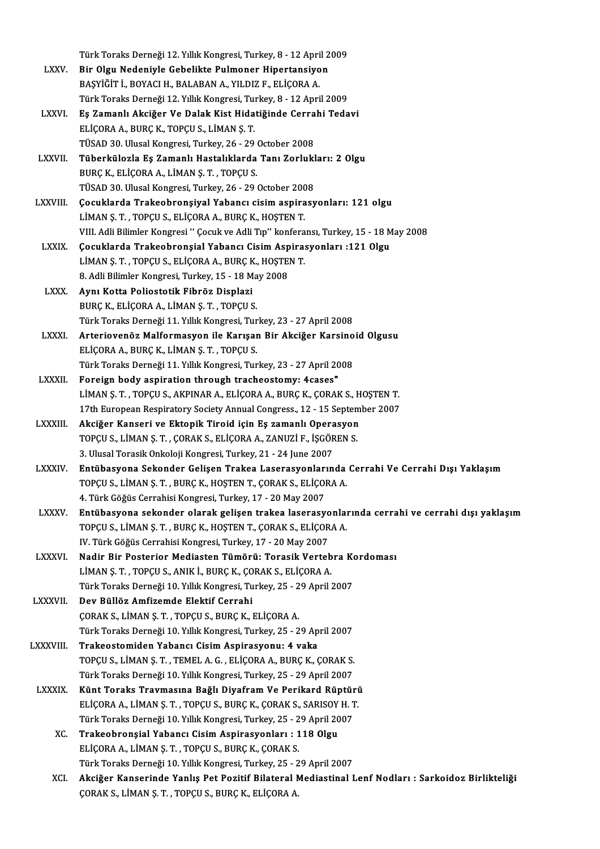Türk Toraks Derneği 12. Yıllık Kongresi, Turkey, 8 - 12 April 2009<br>Pir Olay Nedeniyle Cehelilta Bulmaner Hinertansiyan

- Türk Toraks Derneği 12. Yıllık Kongresi, Turkey, 8 12 April 2<br>LXXV. Bir Olgu Nedeniyle Gebelikte Pulmoner Hipertansiyon<br>PASVİĞİTİ, POVACLH, PALARANA, YU DIZE, ELİGORA A Türk Toraks Derneği 12. Yıllık Kongresi, Turkey, 8 - 12 Apri<br>Bir Olgu Nedeniyle Gebelikte Pulmoner Hipertansiyo<br>BAŞYİĞİT İ., BOYACI H., BALABAN A., YILDIZ F., ELİÇORA A.<br>Türk Toraka Derneği 12. Yıllık Kongresi Turkey, 8., Bir Olgu Nedeniyle Gebelikte Pulmoner Hipertansiyon<br>BAŞYİĞİT İ., BOYACI H., BALABAN A., YILDIZ F., ELİÇORA A.<br>Türk Toraks Derneği 12. Yıllık Kongresi, Turkey, 8 - 12 April 2009 BAŞYİĞİT İ., BOYACI H., BALABAN A., YILDIZ F., ELİÇORA A.<br>Türk Toraks Derneği 12. Yıllık Kongresi, Turkey, 8 - 12 April 2009<br>LXXVI. Eş Zamanlı Akciğer Ve Dalak Kist Hidatiğinde Cerrahi Tedavi<br>ELİÇORA A. BURÇ K. TORÇU S. Lİ
- ELİÇORAA.,BURÇK.,TOPÇUS.,LİMANŞ.T. Eş Zamanlı Akciğer Ve Dalak Kist Hidatiğinde Cerra<br>ELİÇORA A., BURÇ K., TOPÇU S., LİMAN Ş. T.<br>TÜSAD 30. Ulusal Kongresi, Turkey, 26 - 29 October 2008<br>Tüberkülezle Es Zamanlı Hastalıklarda Tanı Zarlukl TÜSAD 30. Ulusal Kongresi, Turkey, 26 - 29 October 2008
- LXXVII. Tüberkülozla Eş Zamanlı Hastalıklarda Tanı Zorlukları: 2 Olgu<br>BURC K., ELİCORA A., LİMAN S. T. , TOPCU S. Tüberkülozla Eş Zamanlı Hastalıklarda Tanı Zorlukl<br>BURÇ K., ELİÇORA A., LİMAN Ş. T. , TOPÇU S.<br>TÜSAD 30. Ulusal Kongresi, Turkey, 26 - 29 October 2008<br>Cosuklarda Trakaabransiyal Yahansı sisim aspirası
- LXXVIII. Çocuklarda Trakeobronşiyal Yabancı cisim aspirasyonları: 121 olgu<br>LİMAN S. T., TOPÇU S., ELİÇORA A., BURC K., HOSTEN T. TÜSAD 30. Ulusal Kongresi, Turkey, 26 - 29 October 200<br>Çocuklarda Trakeobronşiyal Yabancı cisim aspira<br>LİMAN Ş. T. , TOPÇU S., ELİÇORA A., BURÇ K., HOŞTEN T.<br>VIII. Adlı Bilimler Kongresi " Cosuk ve Adli Tır" konfere VIII. Adli Bilimler Kongresi " Çocuk ve Adli Tıp" konferansı, Turkey, 15 - 18 May 2008 LİMAN Ş. T. , TOPÇU S., ELİÇORA A., BURÇ K., HOŞTEN T.<br>VIII. Adli Bilimler Kongresi " Çocuk ve Adli Tıp" konferansı, Turkey, 15 - 18 M<br>LXXIX. Gocuklarda Trakeobronşial Yabancı Cisim Aspirasyonları :121 Olgu
	- VIII. Adli Bilimler Kongresi " Çocuk ve Adli Tıp" konfera<br>Çocuklarda Trakeobronşial Yabancı Cisim Aspira:<br>LİMAN Ş. T. , TOPÇU S., ELİÇORA A., BURÇ K., HOŞTEN T.<br>9. Adli Bilimler Kongresi Turkey, 15., 19 Mey 2009 Cocuklarda Trakeobronsial Yabancı Cisim Asp<br>LİMAN Ş. T. , TOPÇU S., ELİÇORA A., BURÇ K., HOŞTE<br>8. Adli Bilimler Kongresi, Turkey, 15 - 18 May 2008<br>Aunu Kotta Bolisatatik Fihnöz, Diapları LİMAN Ş. T. , TOPÇU S., ELİÇORA A., BURÇ K., HOŞTEN T.<br>8. Adli Bilimler Kongresi, Turkey, 15 - 18 May 2008<br>LXXX. Aynı Kotta Poliostotik Fibröz Displazi<br>BURC K., ELİCORA A., LİMAN S. T. , TOPCU S. 8. Adli Bilimler Kongresi, Turkey, 15 - 18 May 2008
	- Aynı Kotta Poliostotik Fibröz Displazi<br>BURÇ K., ELİÇORA A., LİMAN Ş. T. , TOPÇU S.<br>Türk Toraks Derneği 11. Yıllık Kongresi, Turkey, 23 27 April 2008<br>Artariovanêz Malfarmasyon ile Karısan Bir Aksižar Karsine
- BURÇ K., ELİÇORA A., LİMAN Ş. T. , TOPÇU S.<br>Türk Toraks Derneği 11. Yıllık Kongresi, Turkey, 23 27 April 2008<br>LXXXI. Arteriovenöz Malformasyon ile Karışan Bir Akciğer Karsinoid Olgusu<br>ELİÇORA A, BURÇ K, LİMAN S. T. T Türk Toraks Derneği 11. Yıllık Kongresi, Tur<br>Arteriovenöz Malformasyon ile Karışar<br>ELİÇORA A., BURÇ K., LİMAN Ş. T. , TOPÇU S.<br>Türk Toraks Derneği 11. Yıllık Kongresi Tur Arteriovenöz Malformasyon ile Karışan Bir Akciğer Karsino<br>ELİÇORA A., BURÇ K., LİMAN Ş. T. , TOPÇU S.<br>Türk Toraks Derneği 11. Yıllık Kongresi, Turkey, 23 - 27 April 2008<br>Foreign body aspiration through trasheestemu: Aseses
- ELİÇORA A., BURÇ K., LİMAN Ş. T. , TOPÇU S.<br>Türk Toraks Derneği 11. Yıllık Kongresi, Turkey, 23 27 April 2008<br>"LXXXII. Foreign body aspiration through tracheostomy: 4cases" Türk Toraks Derneği 11. Yıllık Kongresi, Turkey, 23 - 27 April 2008<br>Foreign body aspiration through tracheostomy: 4cases"<br>LİMAN Ş. T. , TOPÇU S., AKPINAR A., ELİÇORA A., BURÇ K., ÇORAK S., HOŞTEN T.<br>17th European Bespirato Foreign body aspiration through tracheostomy: 4cases"<br>LİMAN Ş. T. , TOPÇU S., AKPINAR A., ELİÇORA A., BURÇ K., ÇORAK S., HOŞTEN T.<br>17th European Respiratory Society Annual Congress., 12 - 15 September 2007<br>Aksiğar Kansoni
	-
- LİMAN Ş. T., TOPÇU S., AKPINAR A., ELİÇORA A., BURÇ K., ÇORAK S., H<br>17th European Respiratory Society Annual Congress., 12 15 Septem<br>LXXXIII. Akciğer Kanseri ve Ektopik Tiroid için Eş zamanlı Operasyon<br>TOPCU S. LİMAN S. 17th European Respiratory Society Annual Congress., 12 - 15 Septen<br>Akciğer Kanseri ve Ektopik Tiroid için Eş zamanlı Operasyon<br>TOPÇU S., LİMAN Ş. T. , ÇORAK S., ELİÇORA A., ZANUZİ F., İŞGÖREN S. Akciğer Kanseri ve Ektopik Tiroid için Eş zamanlı Opera<br>TOPÇU S., LİMAN Ş. T. , ÇORAK S., ELİÇORA A., ZANUZİ F., İŞGÖR<br>3. Ulusal Torasik Onkoloji Kongresi, Turkey, 21 - 24 June 2007<br>Entübesyene Sekender Celisen Trekee Lase
- TOPÇU S., LİMAN Ş. T. , ÇORAK S., ELİÇORA A., ZANUZİ F., İŞGÖREN S.<br>3. Ulusal Torasik Onkoloji Kongresi, Turkey, 21 24 June 2007<br>LXXXIV. Entübasyona Sekonder Gelişen Trakea Laserasyonlarında Cerrahi Ve Cerrahi Dışı Yakla 3. Ulusal Torasik Onkoloji Kongresi, Turkey, 21 - 24 June 2007<br><mark>Entübasyona Sekonder Gelişen Trakea Laserasyonlarında</mark><br>TOPÇU S., LİMAN Ş. T. , BURÇ K., HOŞTEN T., ÇORAK S., ELİÇORA A.<br>4. Türk Göğüs Corrabisi Kongresi Turke Entübasyona Sekonder Gelişen Trakea Laserasyonları<br>TOPÇU S., LİMAN Ş. T. , BURÇ K., HOŞTEN T., ÇORAK S., ELİÇOI<br>4. Türk Göğüs Cerrahisi Kongresi, Turkey, 17 - 20 May 2007<br>Entübasyona sekonder olarak gelişen trakaş laserasy TOPÇU S., LİMAN Ş. T. , BURÇ K., HOŞTEN T., ÇORAK S., ELİÇORA A.<br>4. Türk Göğüs Cerrahisi Kongresi, Turkey, 17 - 20 May 2007<br>LXXXV. Entübasyona sekonder olarak gelişen trakea laserasyonlarında cerrahi ve cerrahi dışı ya
- 4. Türk Göğüs Cerrahisi Kongresi, Turkey, 17 20 May 2007<br><mark>Entübasyona sekonder olarak gelişen trakea laserasyonla</mark>ı<br>TOPÇU S., LİMAN Ş. T. , BURÇ K., HOŞTEN T., ÇORAK S., ELİÇORA A.<br>W. Türk Göğüs Corrabisi Kongresi Turkey Entübasyona sekonder olarak gelişen trakea laserasyo<br>TOPÇU S., LİMAN Ş. T. , BURÇ K., HOŞTEN T., ÇORAK S., ELİÇOR<br>IV. Türk Göğüs Cerrahisi Kongresi, Turkey, 17 - 20 May 2007<br>Nadin Bin Bostanian Madiastan Tümönü: Tanasik Va TOPÇU S., LİMAN Ş. T. , BURÇ K., HOŞTEN T., ÇORAK S., ELİÇORA A.<br>IV. Türk Göğüs Cerrahisi Kongresi, Turkey, 17 - 20 May 2007<br>LXXXVI. Nadir Bir Posterior Mediasten Tümörü: Torasik Vertebra Kordoması
- IV. Türk Göğüs Cerrahisi Kongresi, Turkey, 17 20 May 2007<br><mark>Nadir Bir Posterior Mediasten Tümörü: Torasik Verteb</mark><br>LİMAN Ş. T. , TOPÇU S., ANIK İ., BURÇ K., ÇORAK S., ELİÇORA A.<br>Türk Toraka Derneği 10 Yıllık Kongresi Turke Nadir Bir Posterior Mediasten Tümörü: Torasik Vertebra Kongresi, Turkan Ş. T. , TOPÇU S., ANIK İ., BURÇ K., ÇORAK S., ELİÇORA A.<br>Türk Toraks Derneği 10. Yıllık Kongresi, Turkey, 25 - 29 April 2007<br>Dov Büllöz Amfiramda Elak LİMAN Ş. T. , TOPÇU S., ANIK İ., BURÇ K., ÇORAK S., ELİÇORA A.<br>Türk Toraks Derneği 10. Yıllık Kongresi, Turkey, 25 - 29 April 2007<br>LXXXVII. Dev Büllöz Amfizemde Elektif Cerrahi
- ÇORAKS.,LİMANŞ.T. ,TOPÇUS.,BURÇK.,ELİÇORAA. Türk Toraks Derneği 10. Yıllık Kongresi, Turkey, 25 - 29 April 2007
- LXXXVIII. Trakeostomiden Yabancı Cisim Aspirasyonu: 4 vaka Türk Toraks Derneği 10. Yıllık Kongresi, Turkey, 25 - 29 April 2007<br>Trakeostomiden Yabancı Cisim Aspirasyonu: 4 vaka<br>Türk Toraks Derneği 10. Yıllık Kongresi Turkey, 25 - 20 April 2007<br>Türk Toraks Derneği 10. Yıllık Kongres Trakeostomiden Yabancı Cisim Aspirasyonu: 4 vaka<br>TOPÇU S., LİMAN Ş. T. , TEMEL A. G. , ELİÇORA A., BURÇ K., ÇORAK S.<br>Türk Toraks Derneği 10. Yıllık Kongresi, Turkey, 25 - 29 April 2007<br>Künt Toraks Traymasına Bağlı Diyafram TOPÇU S., LİMAN Ş. T. , TEMEL A. G. , ELİÇORA A., BURÇ K., ÇORAK S.<br>Türk Toraks Derneği 10. Yıllık Kongresi, Turkey, 25 - 29 April 2007<br>LXXXIX. Künt Toraks Travmasına Bağlı Diyafram Ve Perikard Rüptürü<br>ELİÇORA A. LİMAN S.
	- Türk Toraks Derneği 10. Yıllık Kongresi, Turkey, 25 29 April 2007<br>**Künt Toraks Travmasına Bağlı Diyafram Ve Perikard Rüptüri**<br>ELİÇORA A., LİMAN Ş. T. , TOPÇU S., BURÇ K., ÇORAK S., SARISOY H. T.<br>Türk Toraks Derneği 10. Y Künt Toraks Travmasına Bağlı Diyafram Ve Perikard Rüptür<br>ELİÇORA A., LİMAN Ş. T. , TOPÇU S., BURÇ K., ÇORAK S., SARISOY H. T<br>Türk Toraks Derneği 10. Yıllık Kongresi, Turkey, 25 - 29 April 2007<br>Trakashransial Yahansı Cisim ELİÇORA A., LİMAN Ş. T. , TOPÇU S., BURÇ K., ÇORAK S., SARISOY<br>Türk Toraks Derneği 10. Yıllık Kongresi, Turkey, 25 - 29 April 20<br>XC. Trakeobronşial Yabancı Cisim Aspirasyonları : 118 Olgu<br>ELİÇORA A. LİMAN S. T. TOPÇU S. BU
		- Türk Toraks Derneği 10. Yıllık Kongresi, Turkey, 25 2<br><mark>Trakeobronşial Yabancı Cisim Aspirasyonları : 1</mark><br>ELİÇORA A., LİMAN Ş. T. , TOPÇU S., BURÇ K., ÇORAK S.<br>Türk Toraka Derneği 10. Yıllık Kongresi, Turkey, 25 2 Trakeobronşial Yabancı Cisim Aspirasyonları : 118 Olgu<br>ELİÇORA A., LİMAN Ş. T. , TOPÇU S., BURÇ K., ÇORAK S. Türk Toraks Derneği 10. Yıllık Kongresi, Turkey, 25 - 29 April 2007
		- XCI. Akciğer Kanserinde Yanlış Pet Pozitif Bilateral Mediastinal Lenf Nodları : Sarkoidoz Birlikteliği<br>CORAK S., LİMAN Ş. T., TOPÇU S., BURÇ K., ELİÇORA A.